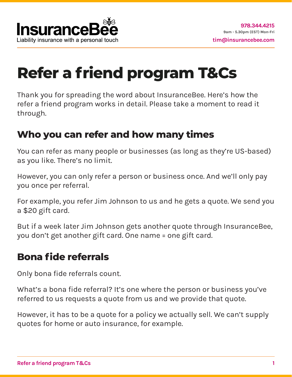# **Refer a friend program T&Cs**

Thank you for spreading the word about InsuranceBee. Here's how the refer a friend program works in detail. Please take a moment to read it through.

#### **Who you can refer and how many times**

You can refer as many people or businesses (as long as they're US-based) as you like. There's no limit.

However, you can only refer a person or business once. And we'll only pay you once per referral.

For example, you refer Jim Johnson to us and he gets a quote. We send you a \$20 gift card.

But if a week later Jim Johnson gets another quote through InsuranceBee, you don't get another gift card. One name = one gift card.

#### **Bona fide referrals**

Only bona fide referrals count.

What's a bona fide referral? It's one where the person or business you've referred to us requests a quote from us and we provide that quote.

However, it has to be a quote for a policy we actually sell. We can't supply quotes for home or auto insurance, for example.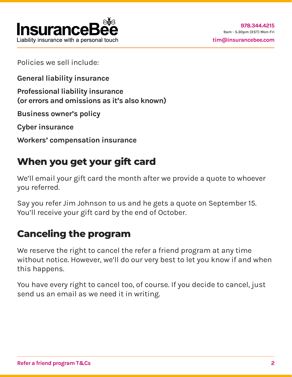

Policies we sell include:

**General liability insurance**

**Professional liability insurance (or errors and omissions as it's also known)**

**Business owner's policy**

**Cyber insurance**

**Workers' compensation insurance**

## **When you get your gift card**

We'll email your gift card the month after we provide a quote to whoever you referred.

Say you refer Jim Johnson to us and he gets a quote on September 15. You'll receive your gift card by the end of October.

# **Canceling the program**

We reserve the right to cancel the refer a friend program at any time without notice. However, we'll do our very best to let you know if and when this happens.

You have every right to cancel too, of course. If you decide to cancel, just send us an email as we need it in writing.